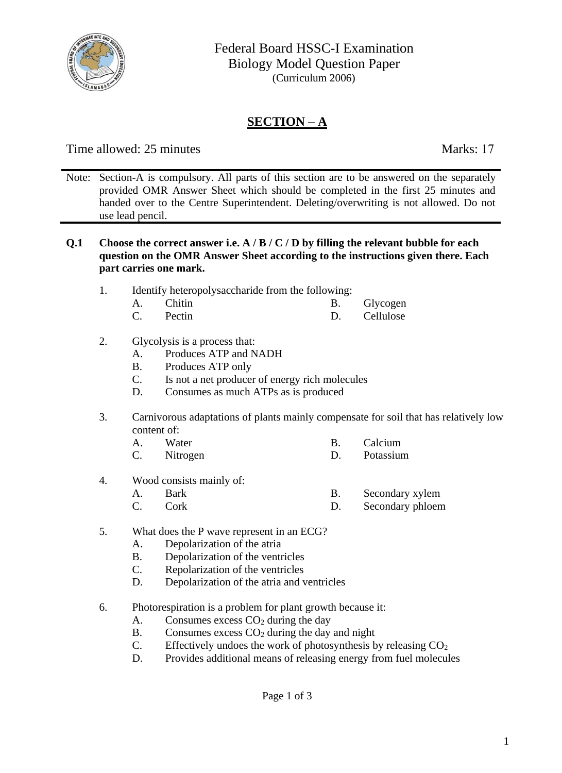

## **SECTION – A**

Time allowed: 25 minutes Marks: 17

- Note: Section-A is compulsory. All parts of this section are to be answered on the separately provided OMR Answer Sheet which should be completed in the first 25 minutes and handed over to the Centre Superintendent. Deleting/overwriting is not allowed. Do not use lead pencil.
- **Q.1 Choose the correct answer i.e. A / B / C / D by filling the relevant bubble for each question on the OMR Answer Sheet according to the instructions given there. Each part carries one mark.** 
	- 1. Identify heteropolysaccharide from the following:
		- A. Chitin B. Glycogen
		- C. Pectin D. Cellulose

## 2. Glycolysis is a process that:

- A. Produces ATP and NADH
- B. Produces ATP only
- C. Is not a net producer of energy rich molecules
- D. Consumes as much ATPs as is produced
- 3. Carnivorous adaptations of plants mainly compensate for soil that has relatively low content of:
	- A. Water B. Calcium
	- C. Nitrogen D. Potassium
- 4. Wood consists mainly of:
	- A. Bark B. Secondary xylem
		-
	- C. Cork D. Secondary phloem
- 5. What does the P wave represent in an ECG?
	- A. Depolarization of the atria
	- B. Depolarization of the ventricles
	- C. Repolarization of the ventricles
	- D. Depolarization of the atria and ventricles
- 6. Photorespiration is a problem for plant growth because it:
	- A. Consumes excess  $CO<sub>2</sub>$  during the day
	- B. Consumes excess  $CO<sub>2</sub>$  during the day and night
	- C. Effectively undoes the work of photosynthesis by releasing  $CO<sub>2</sub>$
	- D. Provides additional means of releasing energy from fuel molecules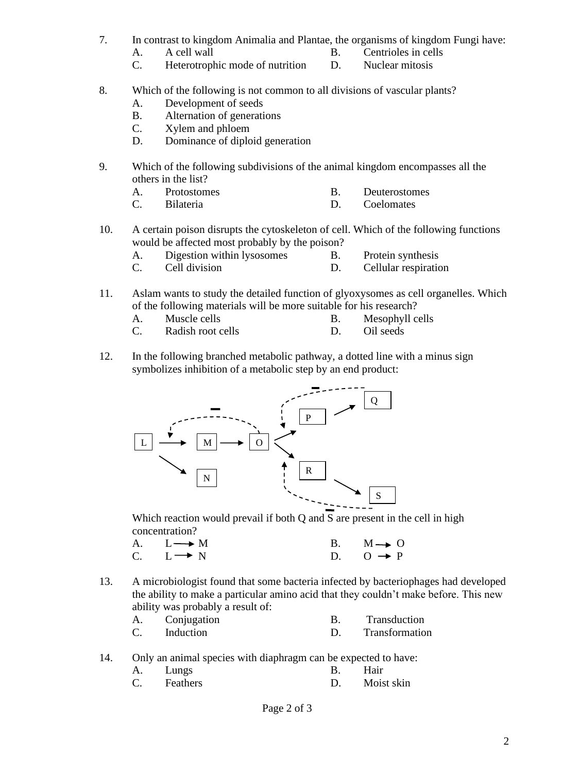- 7. In contrast to kingdom Animalia and Plantae, the organisms of kingdom Fungi have:
	-
	- A. A cell wall B. Centrioles in cells
	- C. Heterotrophic mode of nutrition D. Nuclear mitosis
- 8. Which of the following is not common to all divisions of vascular plants?
	- A. Development of seeds
	- B. Alternation of generations
	- C. Xylem and phloem
	- D. Dominance of diploid generation
- 9. Which of the following subdivisions of the animal kingdom encompasses all the others in the list?
	- A. Protostomes B. Deuterostomes
	- C. Bilateria D. Coelomates
- 10. A certain poison disrupts the cytoskeleton of cell. Which of the following functions would be affected most probably by the poison?
	- A. Digestion within lysosomes B. Protein synthesis
		-
	- C. Cell division D. Cellular respiration
- 11. Aslam wants to study the detailed function of glyoxysomes as cell organelles. Which of the following materials will be more suitable for his research?
	- A. Muscle cells B. Mesophyll cells
	- C. Radish root cells D. Oil seeds
- 12. In the following branched metabolic pathway, a dotted line with a minus sign symbolizes inhibition of a metabolic step by an end product:



Which reaction would prevail if both Q and S are present in the cell in high concentration?

- A.  $L \longrightarrow M$  B.  $M \rightarrow O$ C.  $L \rightarrow N$  D.  $0 \rightarrow P$
- 13. A microbiologist found that some bacteria infected by bacteriophages had developed the ability to make a particular amino acid that they couldn't make before. This new ability was probably a result of:

| Conjugation | Transduction   |
|-------------|----------------|
| Induction   | Transformation |

- 14. Only an animal species with diaphragm can be expected to have:
	- A. Lungs B. Hair
	- C. Feathers D. Moist skin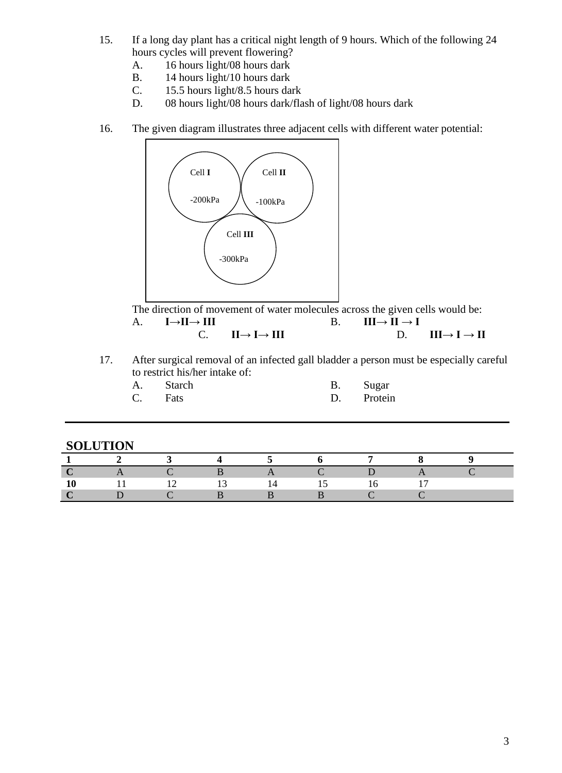- 15. If a long day plant has a critical night length of 9 hours. Which of the following 24 hours cycles will prevent flowering?
	- A. 16 hours light/08 hours dark
	- B. 14 hours light/10 hours dark
	- C. 15.5 hours light/8.5 hours dark
	- D. 08 hours light/08 hours dark/flash of light/08 hours dark
- 16. The given diagram illustrates three adjacent cells with different water potential:



The direction of movement of water molecules across the given cells would be: A. **I** $\rightarrow$ **II B**. **III** $\rightarrow$ **II** $\rightarrow$ **I** C. **II** $\rightarrow$  **I** $\rightarrow$  **III** D. **III** $\rightarrow$  **I** $\rightarrow$  **II** 

17. After surgical removal of an infected gall bladder a person must be especially careful to restrict his/her intake of:

| to republic model model |  |            |  |  |
|-------------------------|--|------------|--|--|
| A. Starch               |  | B. Sugar   |  |  |
| C. Fats                 |  | D. Protein |  |  |

| D. | Sugar   |
|----|---------|
| D. | Protein |

| $\overline{\mathbf{c}}$ | $\sim$ 3 |       |    | 4 5 6 7                                      | $\mathbf{x}$ |  |
|-------------------------|----------|-------|----|----------------------------------------------|--------------|--|
| $\overline{A}$          |          |       |    | $\overline{A}$ $\overline{C}$ $\overline{D}$ |              |  |
| $-11$                   |          | 12 13 | 14 | 15                                           |              |  |
|                         |          |       |    |                                              |              |  |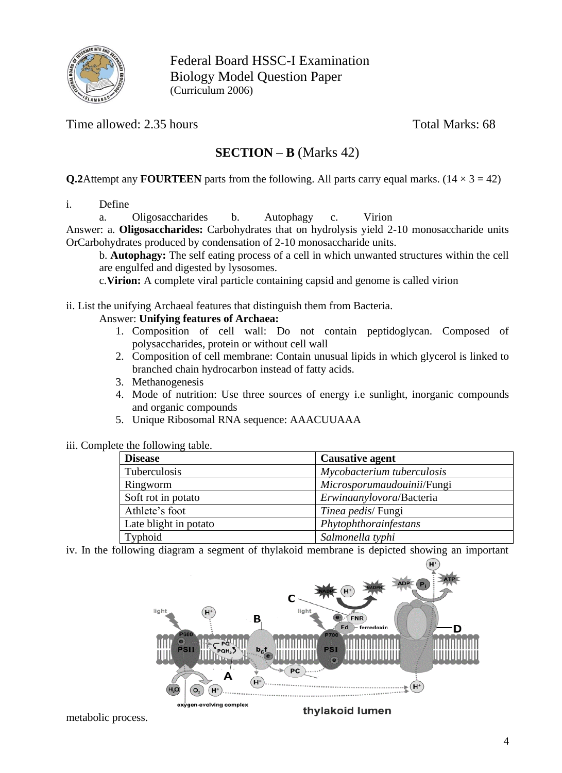

Federal Board HSSC-I Examination Biology Model Question Paper (Curriculum 2006)

Time allowed: 2.35 hours Total Marks: 68

## **SECTION – B** (Marks 42)

**Q.2**Attempt any **FOURTEEN** parts from the following. All parts carry equal marks.  $(14 \times 3 = 42)$ 

i. Define

a. Oligosaccharides b. Autophagy c. Virion

Answer: a. **Oligosaccharides:** Carbohydrates that on hydrolysis yield 2-10 monosaccharide units OrCarbohydrates produced by condensation of 2-10 monosaccharide units.

b. **Autophagy:** The self eating process of a cell in which unwanted structures within the cell are engulfed and digested by lysosomes.

c.**Virion:** A complete viral particle containing capsid and genome is called virion

ii. List the unifying Archaeal features that distinguish them from Bacteria.

#### Answer: **Unifying features of Archaea:**

- 1. Composition of cell wall: Do not contain peptidoglycan. Composed of polysaccharides, protein or without cell wall
- 2. Composition of cell membrane: Contain unusual lipids in which glycerol is linked to branched chain hydrocarbon instead of fatty acids.
- 3. Methanogenesis
- 4. Mode of nutrition: Use three sources of energy i.e sunlight, inorganic compounds and organic compounds
- 5. Unique Ribosomal RNA sequence: AAACUUAAA

## iii. Complete the following table.

| <b>Disease</b>        | <b>Causative agent</b>     |
|-----------------------|----------------------------|
| Tuberculosis          | Mycobacterium tuberculosis |
| Ringworm              | Microsporumaudouinii/Fungi |
| Soft rot in potato    | Erwinaanylovora/Bacteria   |
| Athlete's foot        | Tinea pedis/Fungi          |
| Late blight in potato | Phytophthorainfestans      |
| Typhoid               | Salmonella typhi           |

iv. In the following diagram a segment of thylakoid membrane is depicted showing an important

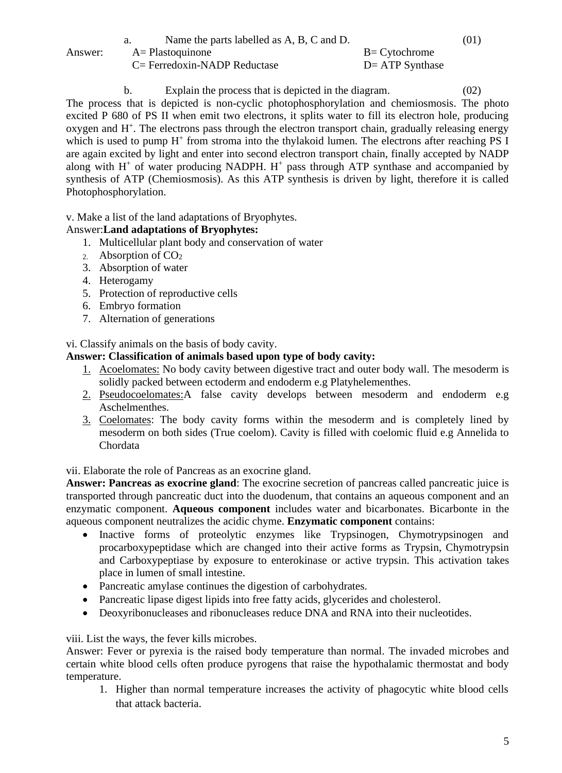|         | Name the parts labelled as A, B, C and D. |                    | (01) |
|---------|-------------------------------------------|--------------------|------|
| Answer: | $A = Plastoquinone$                       | $B = C$ ytochrome  |      |
|         | $C = Ferredoxin-NADP$ Reductase           | $D = ATP$ Synthase |      |

b. Explain the process that is depicted in the diagram. (02) The process that is depicted is non-cyclic photophosphorylation and chemiosmosis. The photo excited P 680 of PS II when emit two electrons, it splits water to fill its electron hole, producing oxygen and H<sup>+</sup>. The electrons pass through the electron transport chain, gradually releasing energy which is used to pump H<sup>+</sup> from stroma into the thylakoid lumen. The electrons after reaching PS I are again excited by light and enter into second electron transport chain, finally accepted by NADP along with  $H^+$  of water producing NADPH.  $H^+$  pass through ATP synthase and accompanied by synthesis of ATP (Chemiosmosis). As this ATP synthesis is driven by light, therefore it is called Photophosphorylation.

v. Make a list of the land adaptations of Bryophytes.

## Answer:**Land adaptations of Bryophytes:**

- 1. Multicellular plant body and conservation of water
- 2. Absorption of CO<sup>2</sup>
- 3. Absorption of water
- 4. Heterogamy
- 5. Protection of reproductive cells
- 6. Embryo formation
- 7. Alternation of generations

vi. Classify animals on the basis of body cavity.

## **Answer: Classification of animals based upon type of body cavity:**

- 1. Acoelomates: No body cavity between digestive tract and outer body wall. The mesoderm is solidly packed between ectoderm and endoderm e.g Platyhelementhes.
- 2. Pseudocoelomates: A false cavity develops between mesoderm and endoderm e.g Aschelmenthes.
- 3. Coelomates: The body cavity forms within the mesoderm and is completely lined by mesoderm on both sides (True coelom). Cavity is filled with coelomic fluid e.g Annelida to Chordata

vii. Elaborate the role of Pancreas as an exocrine gland.

**Answer: Pancreas as exocrine gland**: The exocrine secretion of pancreas called pancreatic juice is transported through pancreatic duct into the duodenum, that contains an aqueous component and an enzymatic component. **Aqueous component** includes water and bicarbonates. Bicarbonte in the aqueous component neutralizes the acidic chyme. **Enzymatic component** contains:

- Inactive forms of proteolytic enzymes like Trypsinogen, Chymotrypsinogen and procarboxypeptidase which are changed into their active forms as Trypsin, Chymotrypsin and Carboxypeptiase by exposure to enterokinase or active trypsin. This activation takes place in lumen of small intestine.
- Pancreatic amylase continues the digestion of carbohydrates.
- Pancreatic lipase digest lipids into free fatty acids, glycerides and cholesterol.
- Deoxyribonucleases and ribonucleases reduce DNA and RNA into their nucleotides.

## viii. List the ways, the fever kills microbes.

Answer: Fever or pyrexia is the raised body temperature than normal. The invaded microbes and certain white blood cells often produce pyrogens that raise the hypothalamic thermostat and body temperature.

1. Higher than normal temperature increases the activity of phagocytic white blood cells that attack bacteria.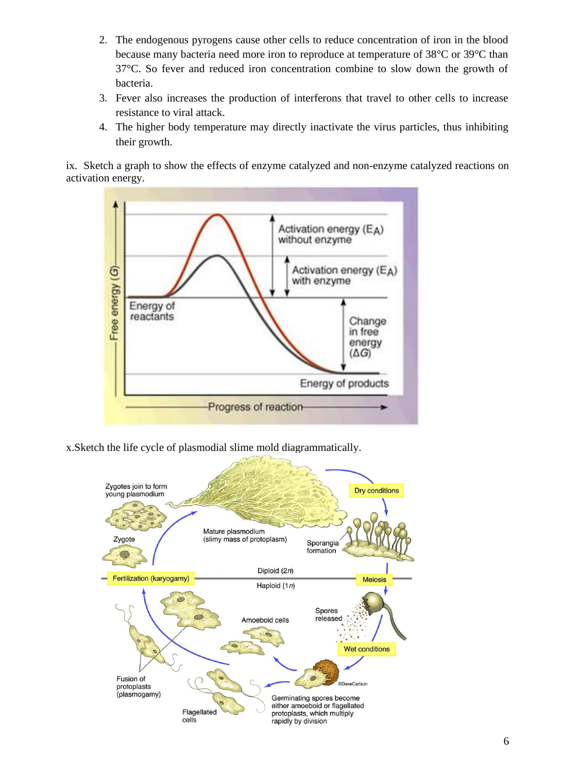- 2. The endogenous pyrogens cause other cells to reduce concentration of iron in the blood because many bacteria need more iron to reproduce at temperature of 38°C or 39°C than 37°C. So fever and reduced iron concentration combine to slow down the growth of bacteria.
- 3. Fever also increases the production of interferons that travel to other cells to increase resistance to viral attack.
- 4. The higher body temperature may directly inactivate the virus particles, thus inhibiting their growth.

ix. Sketch a graph to show the effects of enzyme catalyzed and non-enzyme catalyzed reactions on activation energy.



x.Sketch the life cycle of plasmodial slime mold diagrammatically.

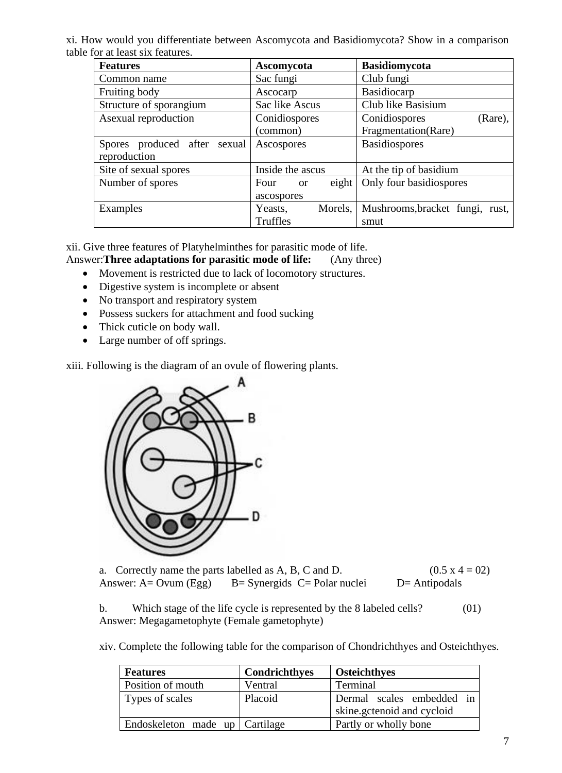xi. How would you differentiate between Ascomycota and Basidiomycota? Show in a comparison table for at least six features.

| <b>Features</b><br>Ascomycota |                                 | <b>Basidiomycota</b>            |  |
|-------------------------------|---------------------------------|---------------------------------|--|
| Common name                   | Sac fungi                       | Club fungi                      |  |
| Fruiting body                 | Ascocarp                        | Basidiocarp                     |  |
| Structure of sporangium       | Sac like Ascus                  | Club like Basisium              |  |
| Asexual reproduction          | Conidiospores                   | Conidiospores<br>(Rare),        |  |
|                               | (common)                        | Fragmentation(Rare)             |  |
| Spores produced after sexual  | Ascospores                      | <b>Basidiospores</b>            |  |
| reproduction                  |                                 |                                 |  |
| Site of sexual spores         | Inside the ascus                | At the tip of basidium          |  |
| Number of spores              | eighth<br>Four<br><sub>or</sub> | Only four basidiospores         |  |
|                               | ascospores                      |                                 |  |
| Examples                      | Morels,<br>Yeasts,              | Mushrooms, bracket fungi, rust, |  |
|                               | Truffles                        | smut                            |  |

xii. Give three features of Platyhelminthes for parasitic mode of life.

Answer:**Three adaptations for parasitic mode of life:** (Any three)

- Movement is restricted due to lack of locomotory structures.
- Digestive system is incomplete or absent
- No transport and respiratory system
- Possess suckers for attachment and food sucking
- Thick cuticle on body wall.
- Large number of off springs.

xiii. Following is the diagram of an ovule of flowering plants.



a. Correctly name the parts labelled as A, B, C and D.  $(0.5 \times 4 = 02)$ Answer:  $A = Ovum (Egg)$  B= Synergids C= Polar nuclei D= Antipodals

b. Which stage of the life cycle is represented by the 8 labeled cells? (01) Answer: Megagametophyte (Female gametophyte)

xiv. Complete the following table for the comparison of Chondrichthyes and Osteichthyes.

| <b>Features</b>                | Condrichthyes | <b>Osteichthyes</b>        |  |
|--------------------------------|---------------|----------------------------|--|
| Position of mouth              | Ventral       | Terminal                   |  |
| Types of scales                | Placoid       | Dermal scales embedded in  |  |
|                                |               | skine.gctenoid and cycloid |  |
| Endoskeleton made up Cartilage |               | Partly or wholly bone      |  |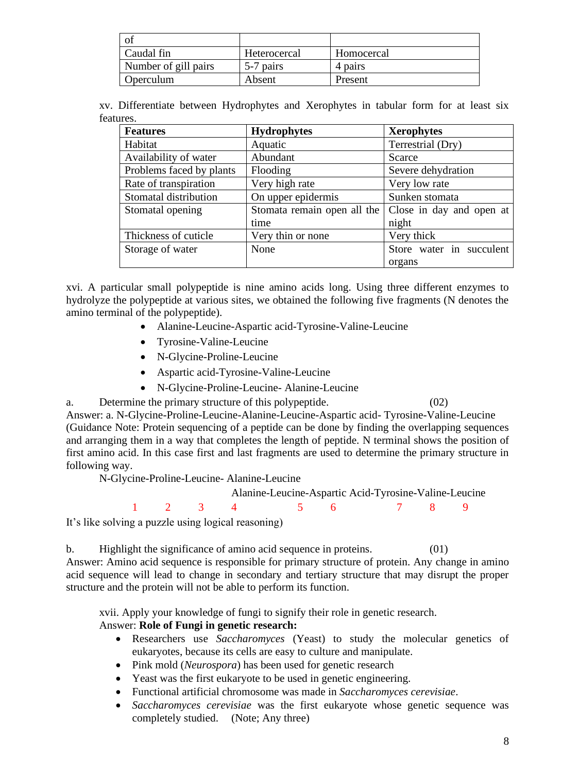| -O1                  |              |            |
|----------------------|--------------|------------|
| Caudal fin           | Heterocercal | Homocercal |
| Number of gill pairs | 5-7 pairs    | 4 pairs    |
| Operculum            | Absent       | Present    |

xv. Differentiate between Hydrophytes and Xerophytes in tabular form for at least six features.

| <b>Features</b>          | <b>Hydrophytes</b>          | <b>Xerophytes</b>        |
|--------------------------|-----------------------------|--------------------------|
| Habitat                  | Aquatic                     | Terrestrial (Dry)        |
| Availability of water    | Abundant                    | Scarce                   |
| Problems faced by plants | Flooding                    | Severe dehydration       |
| Rate of transpiration    | Very high rate              | Very low rate            |
| Stomatal distribution    | On upper epidermis          | Sunken stomata           |
| Stomatal opening         | Stomata remain open all the | Close in day and open at |
|                          | time                        | night                    |
| Thickness of cuticle     | Very thin or none           | Very thick               |
| Storage of water         | None                        | Store water in succulent |
|                          |                             | organs                   |

xvi. A particular small polypeptide is nine amino acids long. Using three different enzymes to hydrolyze the polypeptide at various sites, we obtained the following five fragments (N denotes the amino terminal of the polypeptide).

- Alanine-Leucine-Aspartic acid-Tyrosine-Valine-Leucine
- Tyrosine-Valine-Leucine
- N-Glycine-Proline-Leucine
- Aspartic acid-Tyrosine-Valine-Leucine
- N-Glycine-Proline-Leucine- Alanine-Leucine

a. Determine the primary structure of this polypeptide. (02)

Answer: a. N-Glycine-Proline-Leucine-Alanine-Leucine-Aspartic acid- Tyrosine-Valine-Leucine (Guidance Note: Protein sequencing of a peptide can be done by finding the overlapping sequences and arranging them in a way that completes the length of peptide. N terminal shows the position of first amino acid. In this case first and last fragments are used to determine the primary structure in following way.

N-Glycine-Proline-Leucine- Alanine-Leucine

Alanine-Leucine-Aspartic Acid-Tyrosine-Valine-Leucine

1 2 3 4 5 6 7 8 9

It's like solving a puzzle using logical reasoning)

b. Highlight the significance of amino acid sequence in proteins. (01) Answer: Amino acid sequence is responsible for primary structure of protein. Any change in amino acid sequence will lead to change in secondary and tertiary structure that may disrupt the proper structure and the protein will not be able to perform its function.

xvii. Apply your knowledge of fungi to signify their role in genetic research. Answer: **Role of Fungi in genetic research:**

- Researchers use *Saccharomyces* (Yeast) to study the molecular genetics of eukaryotes, because its cells are easy to culture and manipulate.
- Pink mold (*Neurospora*) has been used for genetic research
- Yeast was the first eukaryote to be used in genetic engineering.
- Functional artificial chromosome was made in *Saccharomyces cerevisiae*.
- *Saccharomyces cerevisiae* was the first eukaryote whose genetic sequence was completely studied. (Note; Any three)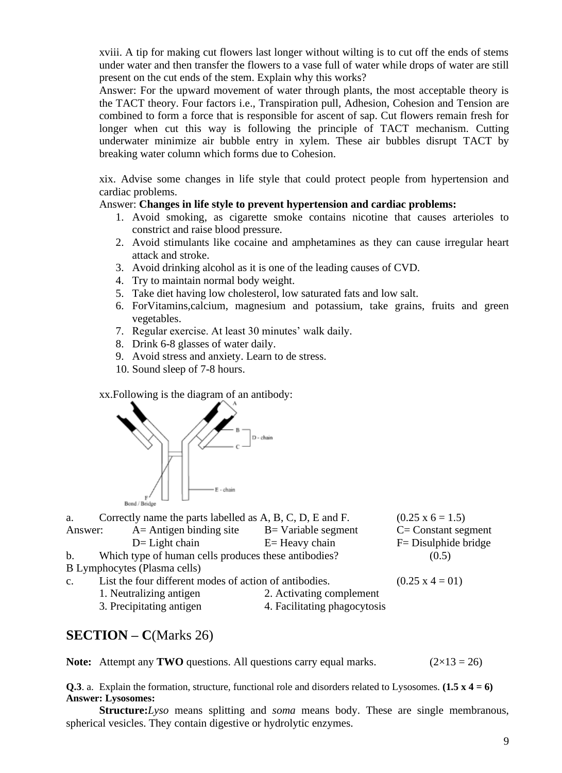xviii. A tip for making cut flowers last longer without wilting is to cut off the ends of stems under water and then transfer the flowers to a vase full of water while drops of water are still present on the cut ends of the stem. Explain why this works?

Answer: For the upward movement of water through plants, the most acceptable theory is the TACT theory. Four factors i.e., Transpiration pull, Adhesion, Cohesion and Tension are combined to form a force that is responsible for ascent of sap. Cut flowers remain fresh for longer when cut this way is following the principle of TACT mechanism. Cutting underwater minimize air bubble entry in xylem. These air bubbles disrupt TACT by breaking water column which forms due to Cohesion.

xix. Advise some changes in life style that could protect people from hypertension and cardiac problems.

#### Answer: **Changes in life style to prevent hypertension and cardiac problems:**

- 1. Avoid smoking, as cigarette smoke contains nicotine that causes arterioles to constrict and raise blood pressure.
- 2. Avoid stimulants like cocaine and amphetamines as they can cause irregular heart attack and stroke.
- 3. Avoid drinking alcohol as it is one of the leading causes of CVD.
- 4. Try to maintain normal body weight.
- 5. Take diet having low cholesterol, low saturated fats and low salt.
- 6. ForVitamins,calcium, magnesium and potassium, take grains, fruits and green vegetables.
- 7. Regular exercise. At least 30 minutes' walk daily.
- 8. Drink 6-8 glasses of water daily.
- 9. Avoid stress and anxiety. Learn to de stress.
- 10. Sound sleep of 7-8 hours.

xx.Following is the diagram of an antibody:



| a.             | Correctly name the parts labelled as A, B, C, D, E and F. |                               | $(0.25 \times 6 = 1.5)$ |
|----------------|-----------------------------------------------------------|-------------------------------|-------------------------|
| Answer:        | $A =$ Antigen binding site                                | $B = \text{Variable segment}$ | $C = Constant segment$  |
|                | $D=$ Light chain                                          | $E=$ Heavy chain              | F = Disulphide bridge   |
| $\mathbf{b}$ . | Which type of human cells produces these antibodies?      |                               | (0.5)                   |
|                | B Lymphocytes (Plasma cells)                              |                               |                         |
| C <sub>1</sub> | List the four different modes of action of antibodies.    |                               | $(0.25 \times 4 = 01)$  |
|                | 1. Neutralizing antigen                                   | 2. Activating complement      |                         |
|                | 3. Precipitating antigen                                  | 4. Facilitating phagocytosis  |                         |

## **SECTION – C**(Marks 26)

**Note:** Attempt any **TWO** questions. All questions carry equal marks.  $(2 \times 13 = 26)$ 

**Q.3**. a. Explain the formation, structure, functional role and disorders related to Lysosomes. **(1.5 x 4 = 6) Answer: Lysosomes:** 

**Structure:***Lyso* means splitting and *soma* means body. These are single membranous, spherical vesicles. They contain digestive or hydrolytic enzymes.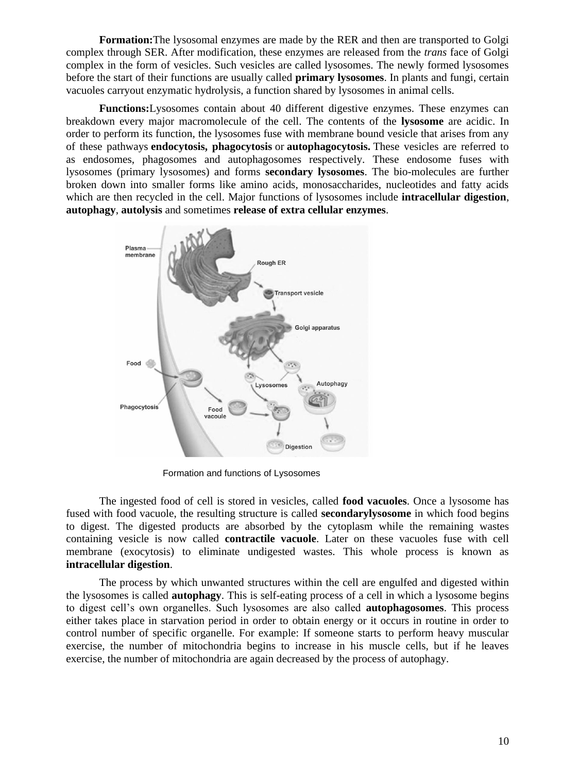**Formation:**The lysosomal enzymes are made by the RER and then are transported to Golgi complex through SER. After modification, these enzymes are released from the *trans* face of Golgi complex in the form of vesicles. Such vesicles are called lysosomes. The newly formed lysosomes before the start of their functions are usually called **primary lysosomes**. In plants and fungi, certain vacuoles carryout enzymatic hydrolysis, a function shared by lysosomes in animal cells.

**Functions:**Lysosomes contain about 40 different digestive enzymes. These enzymes can breakdown every major macromolecule of the cell. The contents of the **lysosome** are acidic. In order to perform its function, the lysosomes fuse with membrane bound vesicle that arises from any of these pathways **endocytosis, phagocytosis** or **autophagocytosis.** These vesicles are referred to as endosomes, phagosomes and autophagosomes respectively. These endosome fuses with lysosomes (primary lysosomes) and forms **secondary lysosomes**. The bio-molecules are further broken down into smaller forms like amino acids, monosaccharides, nucleotides and fatty acids which are then recycled in the cell. Major functions of lysosomes include **intracellular digestion**, **autophagy**, **autolysis** and sometimes **release of extra cellular enzymes**.



Formation and functions of Lysosomes

The ingested food of cell is stored in vesicles, called **food vacuoles**. Once a lysosome has fused with food vacuole, the resulting structure is called **secondarylysosome** in which food begins to digest. The digested products are absorbed by the cytoplasm while the remaining wastes containing vesicle is now called **contractile vacuole**. Later on these vacuoles fuse with cell membrane (exocytosis) to eliminate undigested wastes. This whole process is known as **intracellular digestion**.

The process by which unwanted structures within the cell are engulfed and digested within the lysosomes is called **autophagy**. This is self-eating process of a cell in which a lysosome begins to digest cell's own organelles. Such lysosomes are also called **autophagosomes**. This process either takes place in starvation period in order to obtain energy or it occurs in routine in order to control number of specific organelle. For example: If someone starts to perform heavy muscular exercise, the number of mitochondria begins to increase in his muscle cells, but if he leaves exercise, the number of mitochondria are again decreased by the process of autophagy.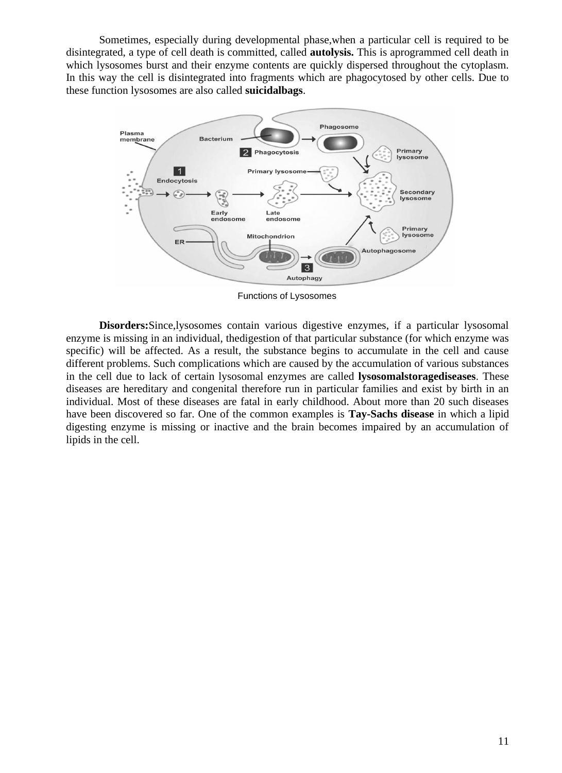Sometimes, especially during developmental phase,when a particular cell is required to be disintegrated, a type of cell death is committed, called **autolysis.** This is aprogrammed cell death in which lysosomes burst and their enzyme contents are quickly dispersed throughout the cytoplasm. In this way the cell is disintegrated into fragments which are phagocytosed by other cells. Due to these function lysosomes are also called **suicidalbags**.



Functions of Lysosomes

**Disorders:**Since,lysosomes contain various digestive enzymes, if a particular lysosomal enzyme is missing in an individual, thedigestion of that particular substance (for which enzyme was specific) will be affected. As a result, the substance begins to accumulate in the cell and cause different problems. Such complications which are caused by the accumulation of various substances in the cell due to lack of certain lysosomal enzymes are called **lysosomalstoragediseases**. These diseases are hereditary and congenital therefore run in particular families and exist by birth in an individual. Most of these diseases are fatal in early childhood. About more than 20 such diseases have been discovered so far. One of the common examples is **Tay-Sachs disease** in which a lipid digesting enzyme is missing or inactive and the brain becomes impaired by an accumulation of lipids in the cell.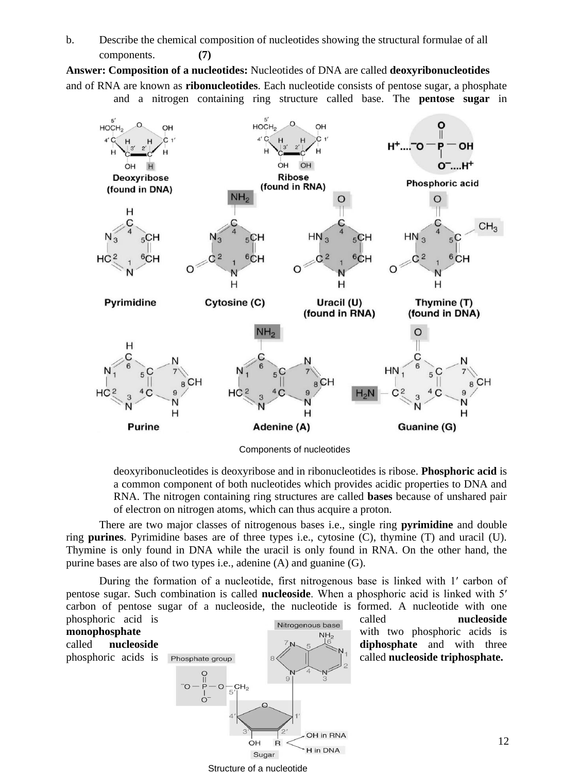b. Describe the chemical composition of nucleotides showing the structural formulae of all components. **(7)**

**Answer: Composition of a nucleotides:** Nucleotides of DNA are called **deoxyribonucleotides** and of RNA are known as **ribonucleotides**. Each nucleotide consists of pentose sugar, a phosphate and a nitrogen containing ring structure called base. The **pentose sugar** in



Components of nucleotides

deoxyribonucleotides is deoxyribose and in ribonucleotides is ribose. **Phosphoric acid** is a common component of both nucleotides which provides acidic properties to DNA and RNA. The nitrogen containing ring structures are called **bases** because of unshared pair of electron on nitrogen atoms, which can thus acquire a proton.

There are two major classes of nitrogenous bases i.e., single ring **pyrimidine** and double ring **purines**. Pyrimidine bases are of three types i.e., cytosine (C), thymine (T) and uracil (U). Thymine is only found in DNA while the uracil is only found in RNA. On the other hand, the purine bases are also of two types i.e., adenine (A) and guanine (G).

During the formation of a nucleotide, first nitrogenous base is linked with 1′ carbon of pentose sugar. Such combination is called **nucleoside**. When a phosphoric acid is linked with 5′ carbon of pentose sugar of a nucleoside, the nucleotide is formed. A nucleotide with one



Structure of a nucleotide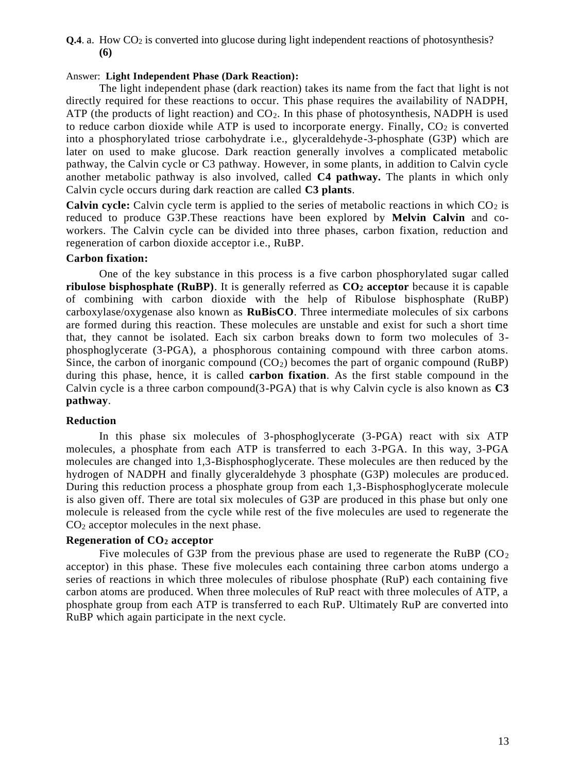#### **Q.4**. a. How CO<sub>2</sub> is converted into glucose during light independent reactions of photosynthesis? **(6)**

#### Answer: **Light Independent Phase (Dark Reaction):**

The light independent phase (dark reaction) takes its name from the fact that light is not directly required for these reactions to occur. This phase requires the availability of NADPH, ATP (the products of light reaction) and  $CO<sub>2</sub>$ . In this phase of photosynthesis, NADPH is used to reduce carbon dioxide while ATP is used to incorporate energy. Finally,  $CO<sub>2</sub>$  is converted into a phosphorylated triose carbohydrate i.e., glyceraldehyde-3-phosphate (G3P) which are later on used to make glucose. Dark reaction generally involves a complicated metabolic pathway, the Calvin cycle or C3 pathway. However, in some plants, in addition to Calvin cycle another metabolic pathway is also involved, called **C4 pathway.** The plants in which only Calvin cycle occurs during dark reaction are called **C3 plants**.

**Calvin cycle:** Calvin cycle term is applied to the series of metabolic reactions in which  $CO<sub>2</sub>$  is reduced to produce G3P.These reactions have been explored by **Melvin Calvin** and coworkers. The Calvin cycle can be divided into three phases, carbon fixation, reduction and regeneration of carbon dioxide acceptor i.e., RuBP.

## **Carbon fixation:**

One of the key substance in this process is a five carbon phosphorylated sugar called **ribulose bisphosphate (RuBP)**. It is generally referred as **CO<sup>2</sup> acceptor** because it is capable of combining with carbon dioxide with the help of Ribulose bisphosphate (RuBP) carboxylase/oxygenase also known as **RuBisCO**. Three intermediate molecules of six carbons are formed during this reaction. These molecules are unstable and exist for such a short time that, they cannot be isolated. Each six carbon breaks down to form two molecules of 3 phosphoglycerate (3-PGA), a phosphorous containing compound with three carbon atoms. Since, the carbon of inorganic compound  $(CO_2)$  becomes the part of organic compound (RuBP) during this phase, hence, it is called **carbon fixation**. As the first stable compound in the Calvin cycle is a three carbon compound(3-PGA) that is why Calvin cycle is also known as **C3 pathway**.

## **Reduction**

In this phase six molecules of 3-phosphoglycerate (3-PGA) react with six ATP molecules, a phosphate from each ATP is transferred to each 3-PGA. In this way, 3-PGA molecules are changed into 1,3-Bisphosphoglycerate. These molecules are then reduced by the hydrogen of NADPH and finally glyceraldehyde 3 phosphate (G3P) molecules are produced. During this reduction process a phosphate group from each 1,3-Bisphosphoglycerate molecule is also given off. There are total six molecules of G3P are produced in this phase but only one molecule is released from the cycle while rest of the five molecules are used to regenerate the CO<sup>2</sup> acceptor molecules in the next phase.

## **Regeneration of CO<sup>2</sup> acceptor**

Five molecules of G3P from the previous phase are used to regenerate the RuBP ( $CO<sub>2</sub>$ ) acceptor) in this phase. These five molecules each containing three carbon atoms undergo a series of reactions in which three molecules of ribulose phosphate (RuP) each containing five carbon atoms are produced. When three molecules of RuP react with three molecules of ATP, a phosphate group from each ATP is transferred to each RuP. Ultimately RuP are converted into RuBP which again participate in the next cycle.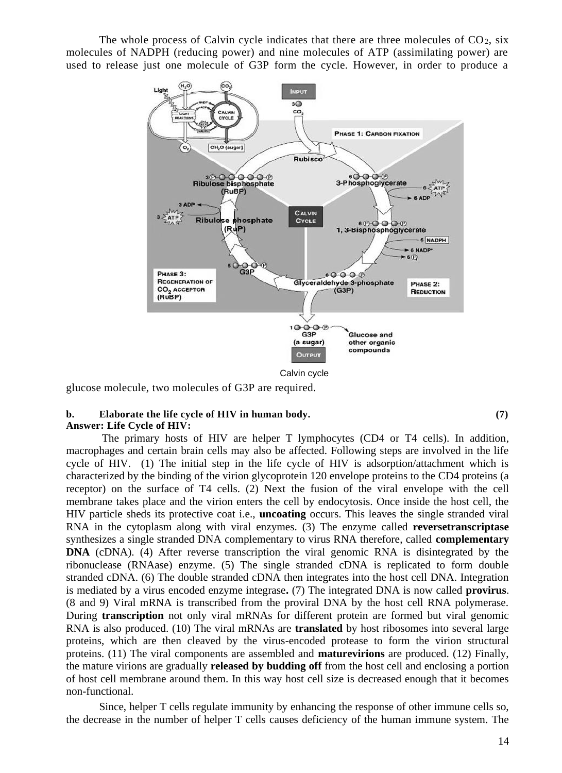The whole process of Calvin cycle indicates that there are three molecules of  $CO<sub>2</sub>$ , six molecules of NADPH (reducing power) and nine molecules of ATP (assimilating power) are used to release just one molecule of G3P form the cycle. However, in order to produce a



glucose molecule, two molecules of G3P are required.

#### **b. Elaborate the life cycle of HIV in human body. (7) Answer: Life Cycle of HIV:**

The primary hosts of HIV are helper T lymphocytes (CD4 or T4 cells). In addition, macrophages and certain brain cells may also be affected. Following steps are involved in the life cycle of HIV. (1) The initial step in the life cycle of HIV is adsorption/attachment which is characterized by the binding of the virion glycoprotein 120 envelope proteins to the CD4 proteins (a receptor) on the surface of T4 cells. (2) Next the fusion of the viral envelope with the cell membrane takes place and the virion enters the cell by endocytosis. Once inside the host cell, the HIV particle sheds its protective coat i.e., **uncoating** occurs. This leaves the single stranded viral RNA in the cytoplasm along with viral enzymes. (3) The enzyme called **reversetranscriptase**  synthesizes a single stranded DNA complementary to virus RNA therefore, called **complementary DNA** (cDNA). (4) After reverse transcription the viral genomic RNA is disintegrated by the ribonuclease (RNAase) enzyme. (5) The single stranded cDNA is replicated to form double stranded cDNA. (6) The double stranded cDNA then integrates into the host cell DNA. Integration is mediated by a virus encoded enzyme integrase**.** (7) The integrated DNA is now called **provirus**. (8 and 9) Viral mRNA is transcribed from the proviral DNA by the host cell RNA polymerase. During **transcription** not only viral mRNAs for different protein are formed but viral genomic RNA is also produced. (10) The viral mRNAs are **translated** by host ribosomes into several large proteins, which are then cleaved by the virus-encoded protease to form the virion structural proteins. (11) The viral components are assembled and **maturevirions** are produced. (12) Finally, the mature virions are gradually **released by budding off** from the host cell and enclosing a portion of host cell membrane around them. In this way host cell size is decreased enough that it becomes non-functional.

Since, helper T cells regulate immunity by enhancing the response of other immune cells so, the decrease in the number of helper T cells causes deficiency of the human immune system. The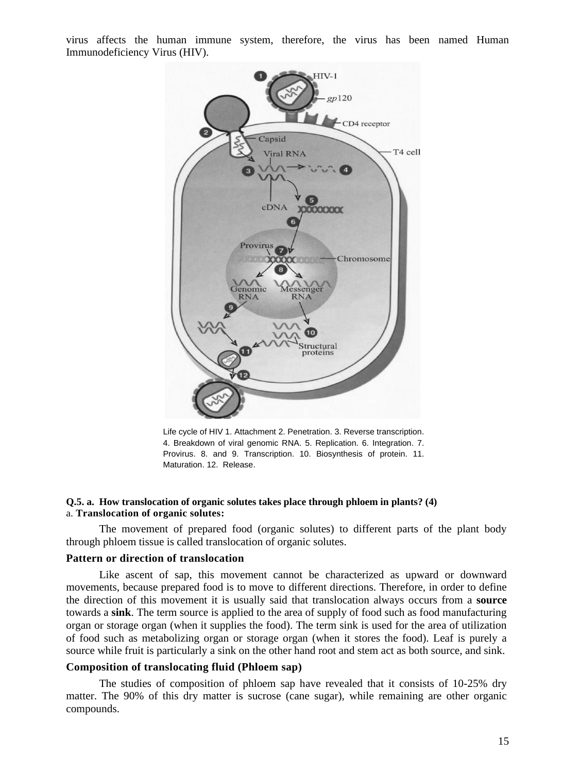virus affects the human immune system, therefore, the virus has been named Human Immunodeficiency Virus (HIV).



Life cycle of HIV 1. Attachment 2. Penetration. 3. Reverse transcription. 4. Breakdown of viral genomic RNA. 5. Replication. 6. Integration. 7. Provirus. 8. and 9. Transcription. 10. Biosynthesis of protein. 11. Maturation. 12. Release.

#### **Q.5. a. How translocation of organic solutes takes place through phloem in plants? (4)** a. **Translocation of organic solutes:**

The movement of prepared food (organic solutes) to different parts of the plant body through phloem tissue is called translocation of organic solutes.

#### **Pattern or direction of translocation**

Like ascent of sap, this movement cannot be characterized as upward or downward movements, because prepared food is to move to different directions. Therefore, in order to define the direction of this movement it is usually said that translocation always occurs from a **source** towards a **sink**. The term source is applied to the area of supply of food such as food manufacturing organ or storage organ (when it supplies the food). The term sink is used for the area of utilization of food such as metabolizing organ or storage organ (when it stores the food). Leaf is purely a source while fruit is particularly a sink on the other hand root and stem act as both source, and sink.

#### **Composition of translocating fluid (Phloem sap)**

The studies of composition of phloem sap have revealed that it consists of 10-25% dry matter. The 90% of this dry matter is sucrose (cane sugar), while remaining are other organic compounds.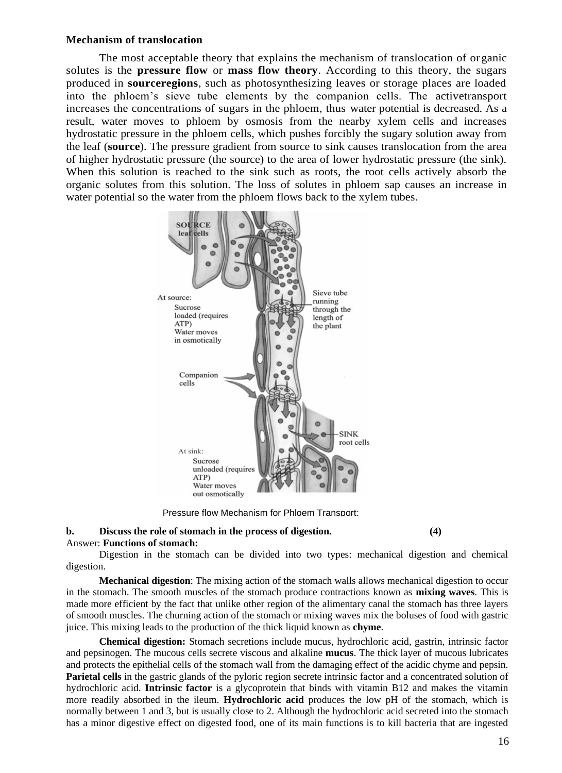#### **Mechanism of translocation**

The most acceptable theory that explains the mechanism of translocation of organic solutes is the **pressure flow** or **mass flow theory**. According to this theory, the sugars produced in **sourceregions**, such as photosynthesizing leaves or storage places are loaded into the phloem's sieve tube elements by the companion cells. The activetransport increases the concentrations of sugars in the phloem, thus water potential is decreased. As a result, water moves to phloem by osmosis from the nearby xylem cells and increases hydrostatic pressure in the phloem cells, which pushes forcibly the sugary solution away from the leaf (**source**). The pressure gradient from source to sink causes translocation from the area of higher hydrostatic pressure (the source) to the area of lower hydrostatic pressure (the sink). When this solution is reached to the sink such as roots, the root cells actively absorb the organic solutes from this solution. The loss of solutes in phloem sap causes an increase in water potential so the water from the phloem flows back to the xylem tubes.



Pressure flow Mechanism for Phloem Transport:

# **b. Discuss the role of stomach in the process of digestion. (4)**

#### Answer: **Functions of stomach:**

Digestion in the stomach can be divided into two types: mechanical digestion and chemical digestion.

**Mechanical digestion**: The mixing action of the stomach walls allows mechanical digestion to occur in the stomach. The smooth muscles of the stomach produce contractions known as **mixing waves**. This is made more efficient by the fact that unlike other region of the alimentary canal the stomach has three layers of smooth muscles. The churning action of the stomach or mixing waves mix the boluses of food with gastric juice. This mixing leads to the production of the thick liquid known as **chyme**.

**Chemical digestion:** Stomach secretions include mucus, hydrochloric acid, gastrin, intrinsic factor and pepsinogen. The mucous cells secrete viscous and alkaline **mucus**. The thick layer of mucous lubricates and protects the epithelial cells of the stomach wall from the damaging effect of the acidic chyme and pepsin. **Parietal cells** in the gastric glands of the pyloric region secrete intrinsic factor and a concentrated solution of hydrochloric acid. **Intrinsic factor** is a glycoprotein that binds with vitamin B12 and makes the vitamin more readily absorbed in the ileum. **Hydrochloric acid** produces the low pH of the stomach, which is normally between 1 and 3, but is usually close to 2. Although the hydrochloric acid secreted into the stomach has a minor digestive effect on digested food, one of its main functions is to kill bacteria that are ingested